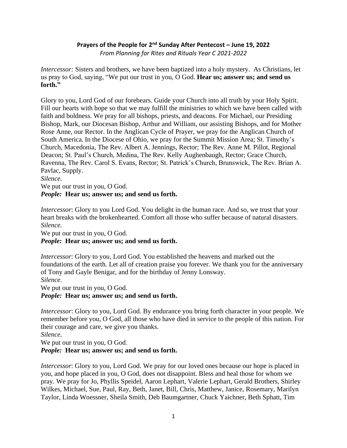# **Prayers of the People for 2<sup>nd</sup> Sunday After Pentecost – June 19, 2022** *From Planning for Rites and Rituals Year C 2021-2022*

*Intercessor:* Sisters and brothers, we have been baptized into a holy mystery. As Christians, let us pray to God, saying, "We put our trust in you, O God. **Hear us; answer us; and send us forth."**

Glory to you, Lord God of our forebears. Guide your Church into all truth by your Holy Spirit. Fill our hearts with hope so that we may fulfill the ministries to which we have been called with faith and boldness. We pray for all bishops, priests, and deacons. For Michael, our Presiding Bishop, Mark, our Diocesan Bishop, Arthur and William, our assisting Bishops, and for Mother Rose Anne, our Rector. In the Anglican Cycle of Prayer, we pray for the Anglican Church of South America. In the Diocese of Ohio, we pray for the Summit Mission Area; St. Timothy's Church, Macedonia, The Rev. Albert A. Jennings, Rector; The Rev. Anne M. Pillot, Regional Deacon; St. Paul's Church, Medina, The Rev. Kelly Aughenbaugh, Rector; Grace Church, Ravenna, The Rev. Carol S. Evans, Rector; St. Patrick's Church, Brunswick, The Rev. Brian A. Pavlac, Supply.

## *Silence.*

We put our trust in you, O God.

## *People:* **Hear us; answer us; and send us forth.**

*Intercessor*: Glory to you Lord God. You delight in the human race. And so, we trust that your heart breaks with the brokenhearted. Comfort all those who suffer because of natural disasters. *Silence.*

We put our trust in you, O God.

## *People:* **Hear us; answer us; and send us forth.**

*Intercessor*: Glory to you, Lord God. You established the heavens and marked out the foundations of the earth. Let all of creation praise you forever. We thank you for the anniversary of Tony and Gayle Benigar, and for the birthday of Jenny Lonsway. *Silence.*

We put our trust in you, O God.

## *People:* **Hear us; answer us; and send us forth.**

*Intercessor*: Glory to you, Lord God. By endurance you bring forth character in your people. We remember before you, O God, all those who have died in service to the people of this nation. For their courage and care, we give you thanks.

*Silence.*

We put our trust in you, O God.

## *People:* **Hear us; answer us; and send us forth.**

*Intercessor*: Glory to you, Lord God. We pray for our loved ones because our hope is placed in you, and hope placed in you, O God, does not disappoint. Bless and heal those for whom we pray. We pray for Jo, Phyllis Speidel, Aaron Lephart, Valerie Lephart, Gerald Brothers, Shirley Wilkes, Michael, Sue, Paul, Ray, Beth, Janet, Bill, Chris, Matthew, Janice, Rosemary, Marilyn Taylor, Linda Woessner, Sheila Smith, Deb Baumgartner, Chuck Yaichner, Beth Sphatt, Tim